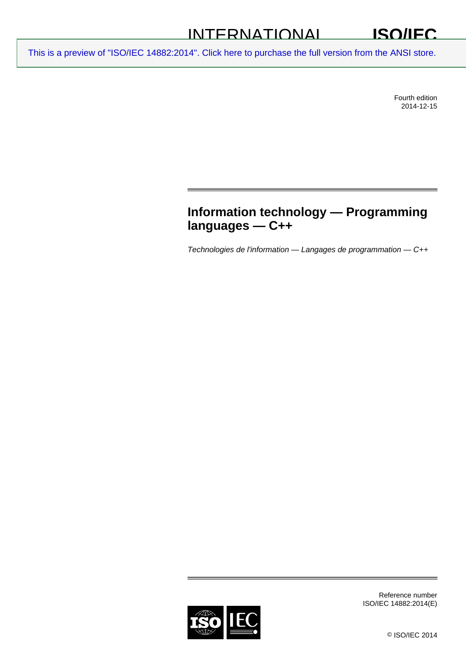## INTERNATIONAL

[This is a preview of "ISO/IEC 14882:2014". Click here to purchase the full version from the ANSI store.](http://webstore.ansi.org/RecordDetail.aspx?sku=ISO%2FIEC%2014882:2014&source=preview)

Fourth edition 2014-12-15

## **Information technology — Programming languages — C++**

*Technologies de l'information — Langages de programmation — C++* 

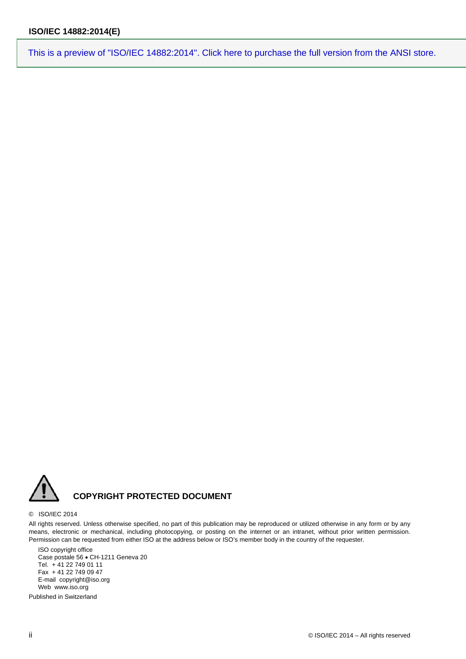

#### © ISO/IEC 2014

All rights reserved. Unless otherwise specified, no part of this publication may be reproduced or utilized otherwise in any form or by any means, electronic or mechanical, including photocopying, or posting on the internet or an intranet, without prior written permission. Permission can be requested from either ISO at the address below or ISO's member body in the country of the requester.

ISO copyright office Case postale 56 · CH-1211 Geneva 20 Tel. + 41 22 749 01 11 Fax + 41 22 749 09 47 E-mail copyright@iso.org Web www.iso.org

Published in Switzerland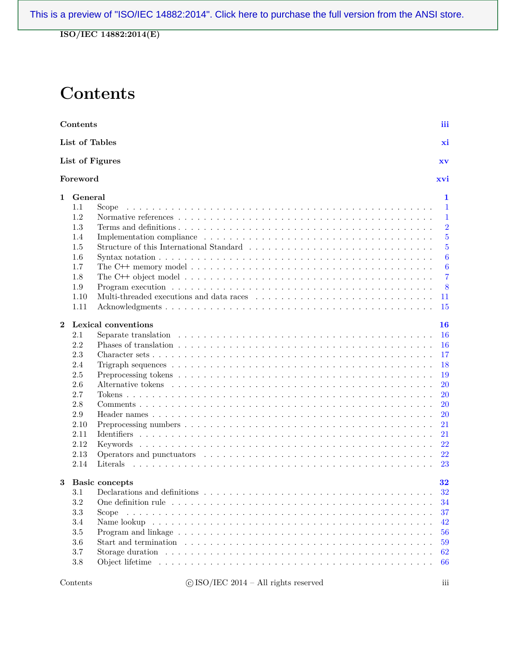**ISO/IEC 14882:2014(E)**

## **Contents**

|             | Contents       |                                                                                                                                                                                                                                | iii              |
|-------------|----------------|--------------------------------------------------------------------------------------------------------------------------------------------------------------------------------------------------------------------------------|------------------|
|             | List of Tables |                                                                                                                                                                                                                                | xi               |
|             |                | List of Figures                                                                                                                                                                                                                | XV               |
|             | Foreword       |                                                                                                                                                                                                                                | xvi              |
| $\mathbf 1$ | $General$      |                                                                                                                                                                                                                                | 1                |
|             | 1.1            | Scope                                                                                                                                                                                                                          | 1                |
|             | 1.2            |                                                                                                                                                                                                                                | $\mathbf 1$      |
|             | 1.3            |                                                                                                                                                                                                                                | $\overline{2}$   |
|             | 1.4            |                                                                                                                                                                                                                                | $\overline{5}$   |
|             | 1.5            |                                                                                                                                                                                                                                | $\overline{5}$   |
|             | 1.6            |                                                                                                                                                                                                                                | $\boldsymbol{6}$ |
|             | 1.7            |                                                                                                                                                                                                                                | $\boldsymbol{6}$ |
|             | 1.8            |                                                                                                                                                                                                                                | $\overline{7}$   |
|             | 1.9            |                                                                                                                                                                                                                                | 8                |
|             | 1.10           |                                                                                                                                                                                                                                | 11               |
|             | 1.11           |                                                                                                                                                                                                                                | 15               |
| $\bf{2}$    |                | <b>Lexical conventions</b>                                                                                                                                                                                                     | 16               |
|             | 2.1            |                                                                                                                                                                                                                                | 16               |
|             | 2.2            |                                                                                                                                                                                                                                | 16               |
|             | 2.3            |                                                                                                                                                                                                                                | 17               |
|             | 2.4            |                                                                                                                                                                                                                                | 18               |
|             | 2.5            |                                                                                                                                                                                                                                | 19               |
|             | 2.6            |                                                                                                                                                                                                                                | <b>20</b>        |
|             | 2.7            |                                                                                                                                                                                                                                | <b>20</b>        |
|             | 2.8            |                                                                                                                                                                                                                                | <b>20</b>        |
|             | 2.9            |                                                                                                                                                                                                                                | <b>20</b>        |
|             | 2.10           |                                                                                                                                                                                                                                | 21               |
|             | 2.11           |                                                                                                                                                                                                                                | 21               |
|             | 2.12           |                                                                                                                                                                                                                                | 22               |
|             | 2.13           |                                                                                                                                                                                                                                | 22               |
|             | 2.14           |                                                                                                                                                                                                                                | 23               |
|             |                |                                                                                                                                                                                                                                |                  |
| 3           |                | <b>Basic concepts</b>                                                                                                                                                                                                          | 32               |
|             | 3.1            | Declarations and definitions                                                                                                                                                                                                   | 32               |
|             | 3.2            |                                                                                                                                                                                                                                | 34               |
|             | $3.3\,$        | Scope                                                                                                                                                                                                                          | 37               |
|             | $3.4\,$        |                                                                                                                                                                                                                                | 42               |
|             | $3.5\,$        |                                                                                                                                                                                                                                | 56               |
|             | $3.6\,$        |                                                                                                                                                                                                                                | 59               |
|             | 3.7            |                                                                                                                                                                                                                                | 62               |
|             | $3.8\,$        | Object lifetime response to the contract of the contract of the contract of the contract of the contract of the contract of the contract of the contract of the contract of the contract of the contract of the contract of th | 66               |
|             |                |                                                                                                                                                                                                                                |                  |
|             |                |                                                                                                                                                                                                                                |                  |

 $\textbf{C}$  ISO/IEC 2014 – All rights reserved iii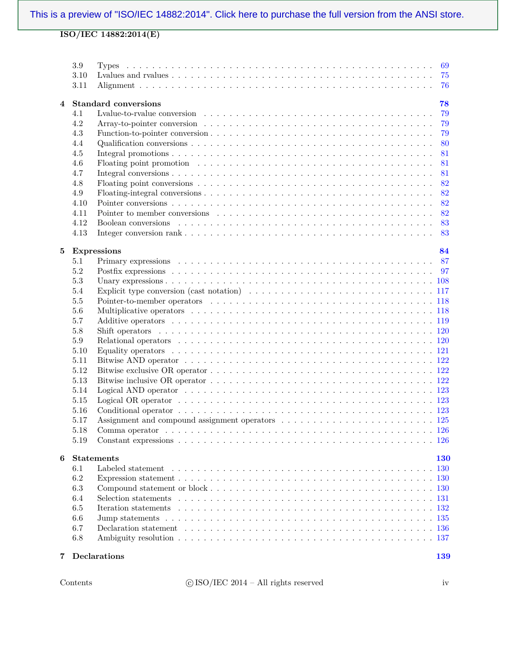|   | 3.9     | 69                                |
|---|---------|-----------------------------------|
|   | 3.10    | 75                                |
|   | 3.11    | 76                                |
| 4 |         | <b>Standard conversions</b><br>78 |
|   | 4.1     | 79                                |
|   | 4.2     | 79                                |
|   | 4.3     | 79                                |
|   | 4.4     | 80                                |
|   | 4.5     | 81                                |
|   | 4.6     | 81                                |
|   | 4.7     | 81                                |
|   | 4.8     | 82                                |
|   | 4.9     | 82                                |
|   |         | 82                                |
|   | 4.10    | 82                                |
|   | 4.11    |                                   |
|   | 4.12    | 83                                |
|   | 4.13    | 83                                |
| 5 |         | <b>Expressions</b><br>84          |
|   | 5.1     | 87                                |
|   | $5.2\,$ | 97                                |
|   | $5.3\,$ |                                   |
|   | 5.4     |                                   |
|   | $5.5\,$ |                                   |
|   | 5.6     |                                   |
|   | 5.7     |                                   |
|   | $5.8\,$ |                                   |
|   | $5.9\,$ |                                   |
|   | 5.10    |                                   |
|   | $5.11$  |                                   |
|   | 5.12    |                                   |
|   | 5.13    |                                   |
|   |         |                                   |
|   | 5.14    |                                   |
|   | 5.15    |                                   |
|   | 5.16    |                                   |
|   | 5.17    |                                   |
|   | 5.18    | Comma operator                    |
|   | 5.19    |                                   |
| 6 |         | <b>Statements</b><br>130          |
|   | 6.1     | <b>130</b>                        |
|   | 6.2     |                                   |
|   | 6.3     |                                   |
|   | 6.4     |                                   |
|   | 6.5     |                                   |
|   | 6.6     |                                   |
|   | 6.7     |                                   |
|   |         |                                   |
|   | 6.8     |                                   |
| 7 |         | Declarations<br>139               |

Contents  $\qquad \qquad \textcircled{isO/IEC 2014--All rights reserved}$  iv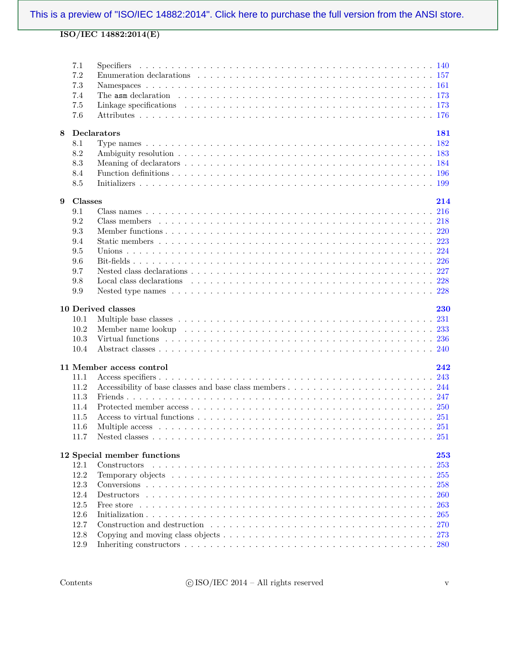|   | 7.1          |                                                                                                                      |
|---|--------------|----------------------------------------------------------------------------------------------------------------------|
|   | $7.2\,$      |                                                                                                                      |
|   | 7.3          |                                                                                                                      |
|   | 7.4          |                                                                                                                      |
|   | 7.5          |                                                                                                                      |
|   | 7.6          |                                                                                                                      |
| 8 |              | Declarators<br>181                                                                                                   |
|   | 8.1          |                                                                                                                      |
|   | 8.2          |                                                                                                                      |
|   | 8.3          |                                                                                                                      |
|   | 8.4          |                                                                                                                      |
|   | 8.5          |                                                                                                                      |
| 9 | Classes      | 214                                                                                                                  |
|   | 9.1          |                                                                                                                      |
|   | 9.2          |                                                                                                                      |
|   | 9.3          |                                                                                                                      |
|   | 9.4          |                                                                                                                      |
|   | 9.5          |                                                                                                                      |
|   | 9.6          |                                                                                                                      |
|   | 9.7          |                                                                                                                      |
|   | 9.8          |                                                                                                                      |
|   | 9.9          |                                                                                                                      |
|   |              |                                                                                                                      |
|   |              | 10 Derived classes<br>230                                                                                            |
|   | 10.1<br>10.2 |                                                                                                                      |
|   | 10.3         | Virtual functions extension of the contract of the contract of the contract of the contract of the contract of $236$ |
|   | 10.4         |                                                                                                                      |
|   |              |                                                                                                                      |
|   |              | 242<br>11 Member access control                                                                                      |
|   | 11.1         |                                                                                                                      |
|   | 11.2         |                                                                                                                      |
|   | 11.3         |                                                                                                                      |
|   | 11.4         |                                                                                                                      |
|   | 11.5         |                                                                                                                      |
|   | 11.6         |                                                                                                                      |
|   | 11.7         |                                                                                                                      |
|   |              | 12 Special member functions<br>${\bf 253}$                                                                           |
|   | 12.1         | 253<br>Constructors                                                                                                  |
|   | 12.2         | 255                                                                                                                  |
|   | 12.3         | 258                                                                                                                  |
|   | 12.4         | <b>260</b>                                                                                                           |
|   | 12.5         | 263                                                                                                                  |
|   | 12.6         | 265                                                                                                                  |
|   | 12.7         |                                                                                                                      |
|   | 12.8         |                                                                                                                      |
|   | 12.9         |                                                                                                                      |
|   |              |                                                                                                                      |

 $\rm{C}$  ISO/IEC 2014 – All rights reserved v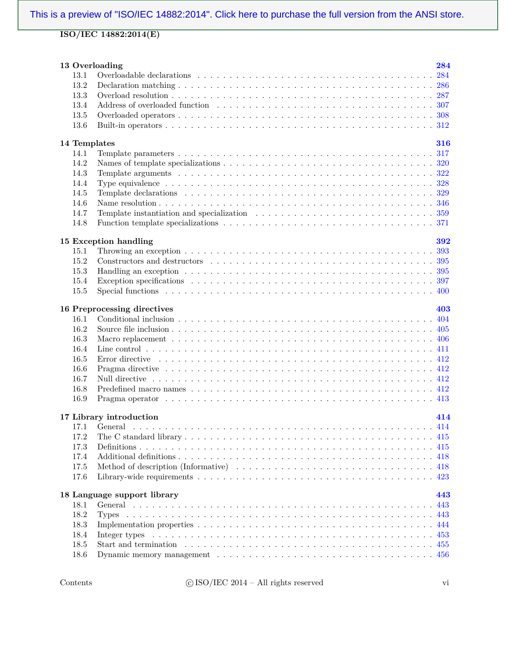| 13 Overloading |                                                                                                                    | 284 |
|----------------|--------------------------------------------------------------------------------------------------------------------|-----|
| 13.1           |                                                                                                                    | 284 |
| 13.2           |                                                                                                                    |     |
| 13.3           |                                                                                                                    |     |
| 13.4           |                                                                                                                    |     |
| 13.5           |                                                                                                                    |     |
| 13.6           |                                                                                                                    |     |
|                |                                                                                                                    |     |
| 14 Templates   |                                                                                                                    | 316 |
| 14.1           |                                                                                                                    |     |
| 14.2           |                                                                                                                    |     |
| 14.3           |                                                                                                                    |     |
| 14.4           |                                                                                                                    |     |
| 14.5           |                                                                                                                    |     |
| 14.6           |                                                                                                                    |     |
| 14.7           |                                                                                                                    |     |
| 14.8           |                                                                                                                    |     |
|                |                                                                                                                    |     |
|                | 15 Exception handling                                                                                              | 392 |
| 15.1           |                                                                                                                    |     |
| 15.2           |                                                                                                                    |     |
| 15.3           | Handling an exception $\ldots \ldots \ldots \ldots \ldots \ldots \ldots \ldots \ldots \ldots \ldots \ldots \ldots$ |     |
| 15.4           |                                                                                                                    |     |
| 15.5           |                                                                                                                    |     |
|                |                                                                                                                    |     |
|                | 16 Preprocessing directives                                                                                        | 403 |
| 16.1           |                                                                                                                    |     |
| 16.2           |                                                                                                                    |     |
| 16.3           |                                                                                                                    |     |
| 16.4           |                                                                                                                    |     |
| 16.5           |                                                                                                                    |     |
| 16.6           |                                                                                                                    |     |
| 16.7           |                                                                                                                    |     |
| 16.8           |                                                                                                                    |     |
| 16.9           |                                                                                                                    |     |
|                |                                                                                                                    |     |
|                | 17 Library introduction                                                                                            | 414 |
| 17.1           |                                                                                                                    |     |
| 17.2           |                                                                                                                    |     |
| 17.3           |                                                                                                                    | 415 |
| 17.4           |                                                                                                                    |     |
| 17.5           |                                                                                                                    |     |
| 17.6           |                                                                                                                    | 423 |
|                |                                                                                                                    |     |
|                | 18 Language support library                                                                                        | 443 |
| 18.1           |                                                                                                                    | 443 |
| 18.2           |                                                                                                                    |     |
| 18.3           |                                                                                                                    | 444 |
| 18.4           |                                                                                                                    |     |
| 18.5           |                                                                                                                    |     |
| 18.6           |                                                                                                                    |     |
|                |                                                                                                                    |     |

 $\textbf{Contents} \qquad \qquad \textbf{C} \; \text{ISO/IEC} \; \text{2014--All rights reserved} \qquad \qquad \textbf{vi}$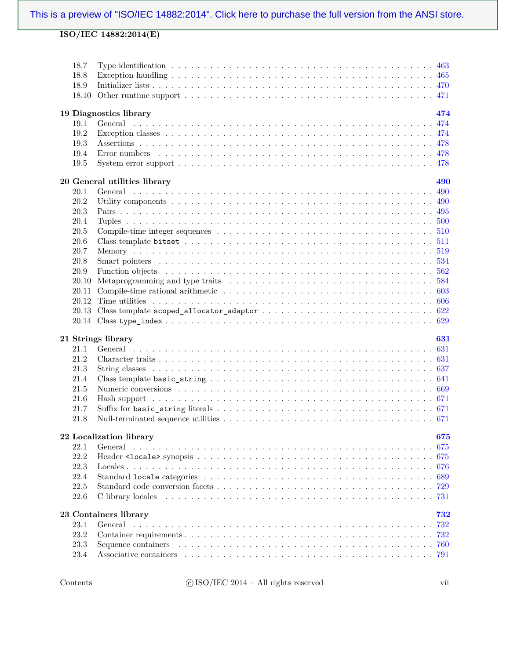| 18.7<br>18.8<br>18.9<br>18.10 |                              |     |
|-------------------------------|------------------------------|-----|
|                               | 19 Diagnostics library       | 474 |
| 19.1                          | General                      |     |
| 19.2                          |                              |     |
| 19.3                          |                              |     |
| 19.4                          |                              |     |
| 19.5                          |                              |     |
|                               |                              |     |
|                               | 20 General utilities library | 490 |
| 20.1                          |                              |     |
| 20.2                          |                              |     |
| 20.3                          |                              |     |
| 20.4                          |                              | 500 |
| 20.5                          |                              | 510 |
| 20.6                          |                              | 511 |
| 20.7                          |                              | 519 |
| 20.8                          |                              | 534 |
| 20.9                          |                              | 562 |
| 20.10                         |                              |     |
| 20.11                         |                              |     |
| 20.12                         |                              |     |
| 20.13                         |                              |     |
|                               |                              |     |
|                               |                              |     |
|                               |                              |     |
|                               | 21 Strings library           | 631 |
| 21.1                          |                              |     |
| 21.2                          |                              |     |
| 21.3                          |                              |     |
| 21.4                          |                              |     |
| 21.5                          |                              |     |
| 21.6                          |                              |     |
| 21.7                          |                              |     |
| 21.8                          |                              |     |
|                               |                              |     |
|                               | 22 Localization library      | 675 |
| 22.1                          | General                      |     |
| 22.2                          |                              |     |
| 22.3                          |                              |     |
| 22.4                          |                              |     |
| $22.5\,$                      |                              |     |
| 22.6                          |                              |     |
|                               | 23 Containers library        | 732 |
| 23.1                          |                              | 732 |
| 23.2                          |                              |     |
| 23.3                          |                              | 760 |
| 23.4                          |                              |     |

 $\textbf{Contents} \qquad \qquad \textbf{C} \; \text{ISO/IEC } 2014 - \textbf{All} \; \text{rights reserved} \qquad \qquad \text{vii}$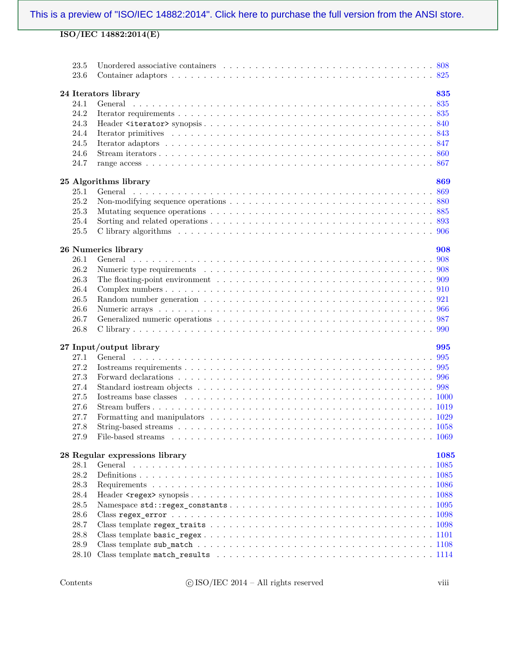| 23.5<br>23.6 |                                |      |  |  |  |
|--------------|--------------------------------|------|--|--|--|
|              | 24 Iterators library<br>835    |      |  |  |  |
| 24.1         | General                        |      |  |  |  |
| 24.2         |                                |      |  |  |  |
| 24.3         |                                |      |  |  |  |
| 24.4         |                                |      |  |  |  |
| 24.5         |                                |      |  |  |  |
| 24.6         |                                |      |  |  |  |
| 24.7         |                                |      |  |  |  |
|              |                                |      |  |  |  |
|              | 25 Algorithms library<br>869   |      |  |  |  |
| 25.1         |                                |      |  |  |  |
| 25.2         |                                |      |  |  |  |
| 25.3         |                                |      |  |  |  |
| 25.4         |                                |      |  |  |  |
| 25.5         |                                |      |  |  |  |
|              | 26 Numerics library<br>908     |      |  |  |  |
| 26.1         |                                |      |  |  |  |
| 26.2         |                                |      |  |  |  |
| 26.3         |                                |      |  |  |  |
| 26.4         |                                |      |  |  |  |
| 26.5         |                                |      |  |  |  |
| 26.6         |                                |      |  |  |  |
|              |                                |      |  |  |  |
|              |                                |      |  |  |  |
| 26.7         |                                |      |  |  |  |
| 26.8         |                                |      |  |  |  |
|              | 27 Input/output library<br>995 |      |  |  |  |
| 27.1         |                                |      |  |  |  |
| 27.2         |                                |      |  |  |  |
| 27.3         |                                |      |  |  |  |
| 27.4         |                                |      |  |  |  |
| 27.5         |                                |      |  |  |  |
| 27.6         |                                |      |  |  |  |
| 27.7         |                                |      |  |  |  |
| 27.8         |                                |      |  |  |  |
| 27.9         |                                |      |  |  |  |
|              | 28 Regular expressions library | 1085 |  |  |  |
| 28.1         |                                |      |  |  |  |
| 28.2         |                                |      |  |  |  |
| 28.3         |                                |      |  |  |  |
| 28.4         |                                |      |  |  |  |
| 28.5         |                                |      |  |  |  |
| 28.6         |                                |      |  |  |  |
| 28.7         |                                |      |  |  |  |
| 28.8         |                                |      |  |  |  |
| 28.9         |                                |      |  |  |  |
| 28.10        |                                |      |  |  |  |

 $\textbf{C}$  ISO/IEC 2014 – All rights reserved viii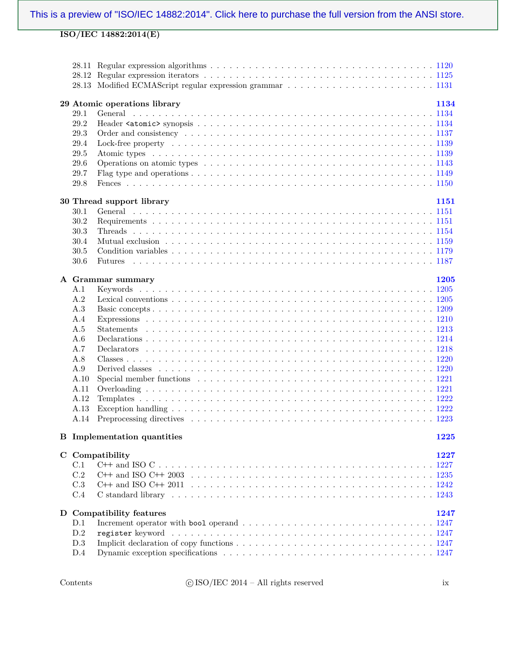|      | 29 Atomic operations library<br>1134                                                                              |
|------|-------------------------------------------------------------------------------------------------------------------|
| 29.1 |                                                                                                                   |
| 29.2 |                                                                                                                   |
| 29.3 |                                                                                                                   |
| 29.4 |                                                                                                                   |
| 29.5 |                                                                                                                   |
| 29.6 |                                                                                                                   |
| 29.7 |                                                                                                                   |
| 29.8 |                                                                                                                   |
|      | 1151                                                                                                              |
| 30.1 | 30 Thread support library                                                                                         |
| 30.2 |                                                                                                                   |
|      |                                                                                                                   |
| 30.3 |                                                                                                                   |
| 30.4 |                                                                                                                   |
| 30.5 |                                                                                                                   |
| 30.6 | Futures                                                                                                           |
|      | 1205<br>A Grammar summary                                                                                         |
| A.1  |                                                                                                                   |
| A.2  |                                                                                                                   |
| A.3  |                                                                                                                   |
| A.4  |                                                                                                                   |
| A.5  |                                                                                                                   |
| A.6  |                                                                                                                   |
| A.7  |                                                                                                                   |
| A.8  |                                                                                                                   |
| A.9  |                                                                                                                   |
| A.10 |                                                                                                                   |
| A.11 |                                                                                                                   |
| A.12 |                                                                                                                   |
| A.13 |                                                                                                                   |
| A.14 |                                                                                                                   |
|      |                                                                                                                   |
|      | <b>B</b> Implementation quantities<br>1225                                                                        |
|      |                                                                                                                   |
|      | C Compatibility<br>1227                                                                                           |
| C.1  |                                                                                                                   |
| C.2  |                                                                                                                   |
| C.3  |                                                                                                                   |
| C.4  |                                                                                                                   |
|      | D Compatibility features<br>1247                                                                                  |
| D.1  | Increment operator with bool operand $\ldots \ldots \ldots \ldots \ldots \ldots \ldots \ldots \ldots \ldots 1247$ |
| D.2  |                                                                                                                   |
| D.3  |                                                                                                                   |
| D.4  |                                                                                                                   |
|      |                                                                                                                   |

Contents  $\qquad \qquad \textcircled{isO/IEC 2014--All rights reserved}$  ix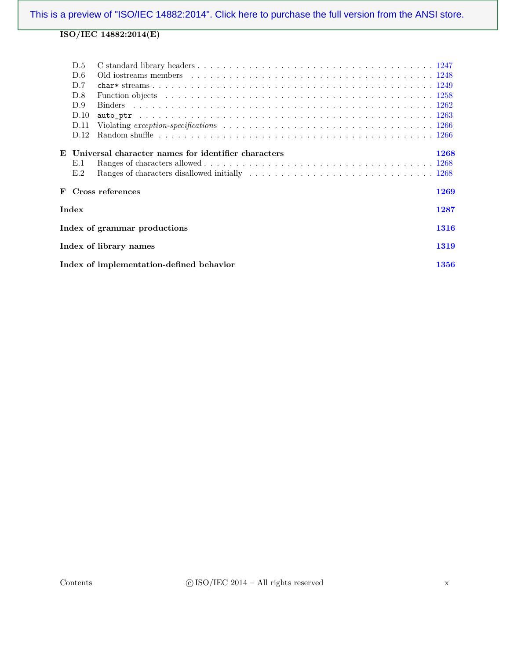|   | D.5   |                                                                                                                               |      |
|---|-------|-------------------------------------------------------------------------------------------------------------------------------|------|
|   | D.6   |                                                                                                                               |      |
|   | D.7   |                                                                                                                               |      |
|   | D.8   |                                                                                                                               |      |
|   | D.9   |                                                                                                                               |      |
|   | D.10  |                                                                                                                               |      |
|   | D.11  | Violating exception-specifications $\ldots \ldots \ldots \ldots \ldots \ldots \ldots \ldots \ldots \ldots \ldots \ldots 1266$ |      |
|   | D.12  |                                                                                                                               |      |
|   |       | E Universal character names for identifier characters                                                                         | 1268 |
|   | E.1   |                                                                                                                               |      |
|   | E.2   |                                                                                                                               |      |
| F |       | Cross references                                                                                                              | 1269 |
|   | Index |                                                                                                                               | 1287 |
|   |       | Index of grammar productions                                                                                                  | 1316 |
|   |       | Index of library names                                                                                                        | 1319 |
|   |       | Index of implementation-defined behavior                                                                                      | 1356 |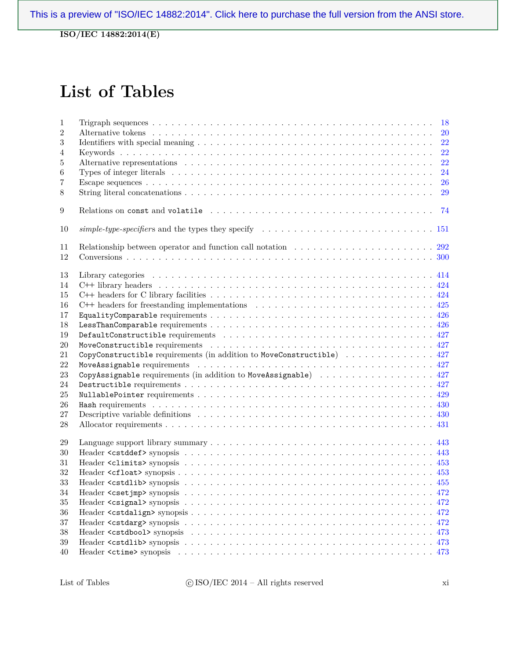**ISO/IEC 14882:2014(E)**

## **List of Tables**

| $\mathbf{1}$     |                                                                                                                           |
|------------------|---------------------------------------------------------------------------------------------------------------------------|
| $\overline{2}$   | <b>20</b>                                                                                                                 |
| 3                | 22                                                                                                                        |
| $\overline{4}$   | 22                                                                                                                        |
| 5                | 22                                                                                                                        |
| $\boldsymbol{6}$ | 24                                                                                                                        |
| 7                | 26                                                                                                                        |
| 8                | 29                                                                                                                        |
| 9                | 74                                                                                                                        |
| 10               | $simple-type-specific rs$ and the types they specify $\ldots \ldots \ldots \ldots \ldots \ldots \ldots \ldots \ldots 151$ |
| 11               | Relationship between operator and function call notation $\ldots \ldots \ldots \ldots \ldots \ldots \ldots \ldots$ 292    |
| 12               |                                                                                                                           |
|                  |                                                                                                                           |
| 13               |                                                                                                                           |
| 14               |                                                                                                                           |
| 15               |                                                                                                                           |
| 16               |                                                                                                                           |
| 17               |                                                                                                                           |
| 18               |                                                                                                                           |
| 19               |                                                                                                                           |
| $20\,$           |                                                                                                                           |
| 21               | CopyConstructible requirements (in addition to MoveConstructible)  427                                                    |
| 22               |                                                                                                                           |
| 23               | CopyAssignable requirements (in addition to MoveAssignable) 427                                                           |
| 24               |                                                                                                                           |
| 25               |                                                                                                                           |
| 26               |                                                                                                                           |
| 27               |                                                                                                                           |
| 28               |                                                                                                                           |
| 29               |                                                                                                                           |
| 30               |                                                                                                                           |
| 31               |                                                                                                                           |
| 32               |                                                                                                                           |
| 33               |                                                                                                                           |
| 34               |                                                                                                                           |
| 35               |                                                                                                                           |
|                  |                                                                                                                           |
| 36               |                                                                                                                           |
| 37               |                                                                                                                           |
| $38\,$           |                                                                                                                           |
| 39               |                                                                                                                           |
| 40               |                                                                                                                           |

 $\text{List of Tables} \qquad \qquad \text{ (C ISO/IEC 2014 -- All rights reserved} \qquad \qquad \text{ xi}$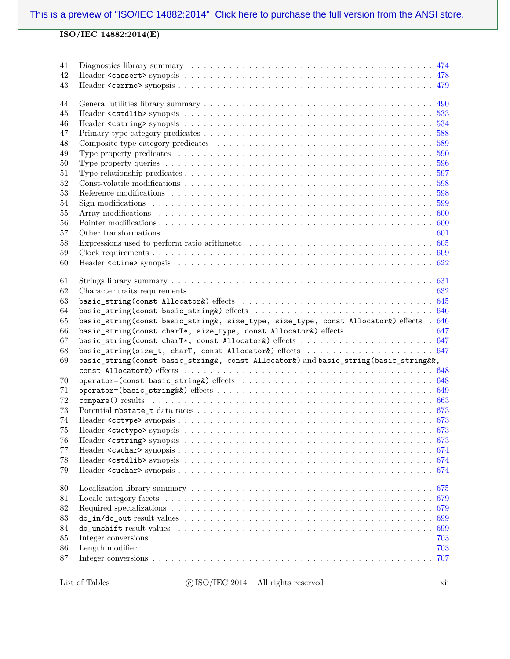| 41<br>42 |                                                                                                                                                                |     |
|----------|----------------------------------------------------------------------------------------------------------------------------------------------------------------|-----|
| 43       |                                                                                                                                                                |     |
| 44       |                                                                                                                                                                |     |
| 45       |                                                                                                                                                                |     |
| 46       |                                                                                                                                                                |     |
| 47       |                                                                                                                                                                |     |
| 48       |                                                                                                                                                                |     |
| 49       |                                                                                                                                                                |     |
| 50       |                                                                                                                                                                |     |
| 51       |                                                                                                                                                                |     |
| $52\,$   |                                                                                                                                                                |     |
| $53\,$   |                                                                                                                                                                |     |
| 54       |                                                                                                                                                                |     |
| 55       |                                                                                                                                                                |     |
| 56       |                                                                                                                                                                |     |
| 57       |                                                                                                                                                                |     |
| $58\,$   |                                                                                                                                                                |     |
| 59       |                                                                                                                                                                |     |
| 60       |                                                                                                                                                                |     |
|          |                                                                                                                                                                |     |
| 61       |                                                                                                                                                                |     |
| 62       |                                                                                                                                                                |     |
| 63       |                                                                                                                                                                |     |
| 64       |                                                                                                                                                                |     |
|          |                                                                                                                                                                |     |
| 65       |                                                                                                                                                                |     |
| 66       | basic_string(const basic_string&, size_type, size_type, const Allocator&) effects . 646<br>basic_string(const charT*, size_type, const Allocator&) effects 647 |     |
| 67       |                                                                                                                                                                |     |
| 68       |                                                                                                                                                                |     |
| 69       | basic_string(const basic_string&, const Allocator&) and basic_string(basic_string&&,                                                                           |     |
|          |                                                                                                                                                                |     |
| 70       |                                                                                                                                                                |     |
| 71       |                                                                                                                                                                |     |
| 72       |                                                                                                                                                                |     |
| 73       |                                                                                                                                                                |     |
| 74       |                                                                                                                                                                |     |
| 75       |                                                                                                                                                                |     |
| 76       |                                                                                                                                                                |     |
| 77       |                                                                                                                                                                |     |
|          |                                                                                                                                                                |     |
| 78       |                                                                                                                                                                |     |
| 79       |                                                                                                                                                                |     |
| 80       |                                                                                                                                                                |     |
| 81       |                                                                                                                                                                |     |
| 82       | Required specializations $\ldots \ldots \ldots \ldots \ldots \ldots \ldots \ldots \ldots \ldots \ldots \ldots \ldots$                                          |     |
| 83       |                                                                                                                                                                |     |
| 84       |                                                                                                                                                                | 699 |
| 85       |                                                                                                                                                                | 703 |
| 86       |                                                                                                                                                                | 703 |
| 87       |                                                                                                                                                                |     |

List of Tables  $\qquad \qquad \textcircled{ESO/IEC 2014--All rights reserved}$  xii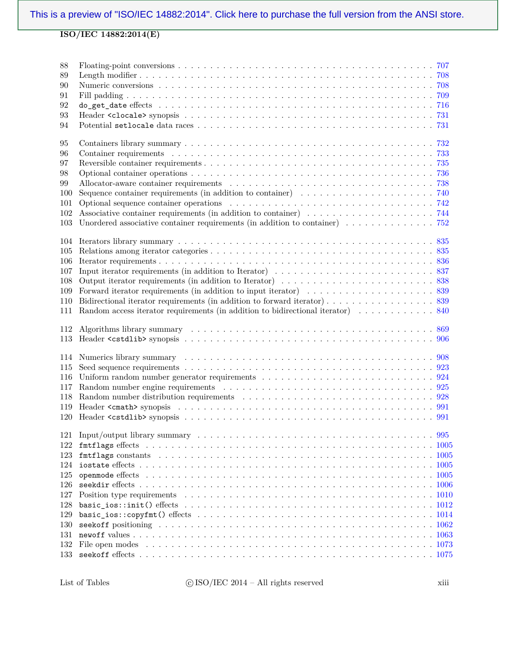| 88<br>89<br>90<br>91<br>92<br>93<br>94                      |                                                                                                                                                                                                                                                                                                                                                              |  |
|-------------------------------------------------------------|--------------------------------------------------------------------------------------------------------------------------------------------------------------------------------------------------------------------------------------------------------------------------------------------------------------------------------------------------------------|--|
| 95<br>96<br>97<br>98<br>99<br>100<br>101<br>102<br>103      | Unordered associative container requirements (in addition to container) $\dots \dots \dots \dots \dots$                                                                                                                                                                                                                                                      |  |
| 104<br>105<br>106<br>107<br>108<br>109<br>110<br>111        | Random access iterator requirements (in addition to bidirectional iterator)  840                                                                                                                                                                                                                                                                             |  |
| 112<br>113                                                  |                                                                                                                                                                                                                                                                                                                                                              |  |
| 114<br>115<br>116<br>117<br>118<br>119<br>120               | Numerics library summary resources in the contract of the set of the summary resources of the set of the set of the set of the set of the set of the set of the set of the set of the set of the set of the set of the set of<br>Uniform random number generator requirements $\ldots \ldots \ldots \ldots \ldots \ldots \ldots \ldots \ldots \ldots \ldots$ |  |
| 122<br>123<br>124<br>125<br>126<br>127<br>128<br>129<br>130 |                                                                                                                                                                                                                                                                                                                                                              |  |
| 131<br>132                                                  |                                                                                                                                                                                                                                                                                                                                                              |  |

List of Tables  $\qquad \qquad \textcircled{ESO/IEC 2014--All rights reserved}$  xiii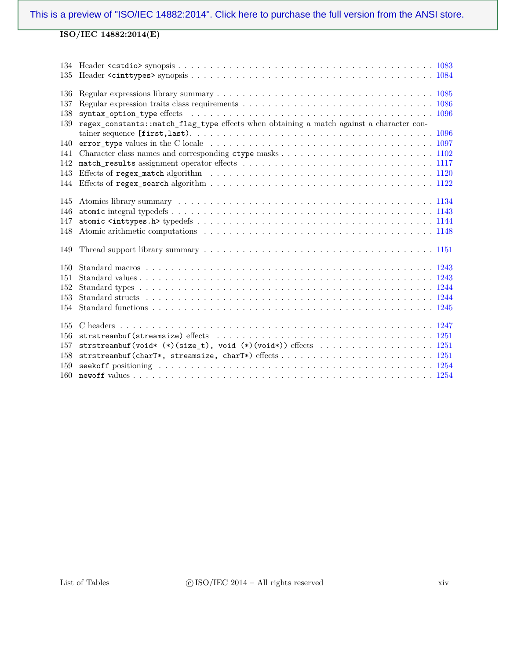| 135 |                                                                                          |
|-----|------------------------------------------------------------------------------------------|
| 136 |                                                                                          |
| 137 |                                                                                          |
| 138 |                                                                                          |
| 139 | regex_constants::match_flag_type effects when obtaining a match against a character con- |
|     |                                                                                          |
| 140 |                                                                                          |
| 141 |                                                                                          |
| 142 |                                                                                          |
| 143 |                                                                                          |
| 144 |                                                                                          |
|     |                                                                                          |
| 145 |                                                                                          |
| 146 |                                                                                          |
| 147 |                                                                                          |
| 148 |                                                                                          |
|     |                                                                                          |
| 149 |                                                                                          |
|     |                                                                                          |
| 150 |                                                                                          |
| 151 |                                                                                          |
| 152 |                                                                                          |
| 153 |                                                                                          |
| 154 |                                                                                          |
|     |                                                                                          |
| 155 |                                                                                          |
| 156 |                                                                                          |
| 157 |                                                                                          |
| 158 |                                                                                          |
| 159 |                                                                                          |
| 160 |                                                                                          |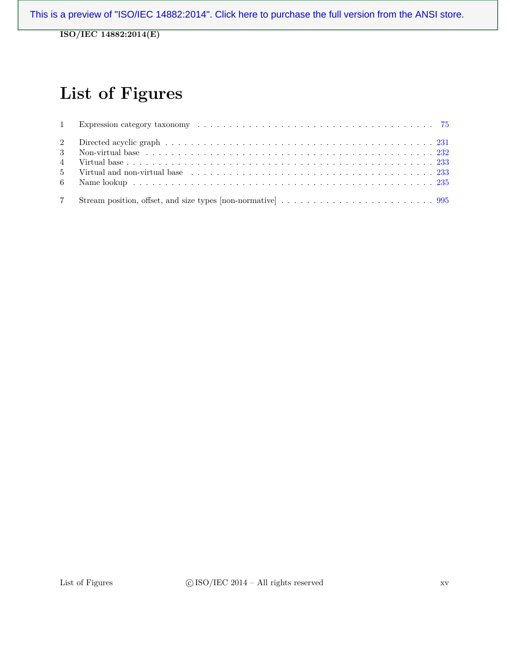**ISO/IEC 14882:2014(E)**

# **List of Figures**

| 7 |  |
|---|--|